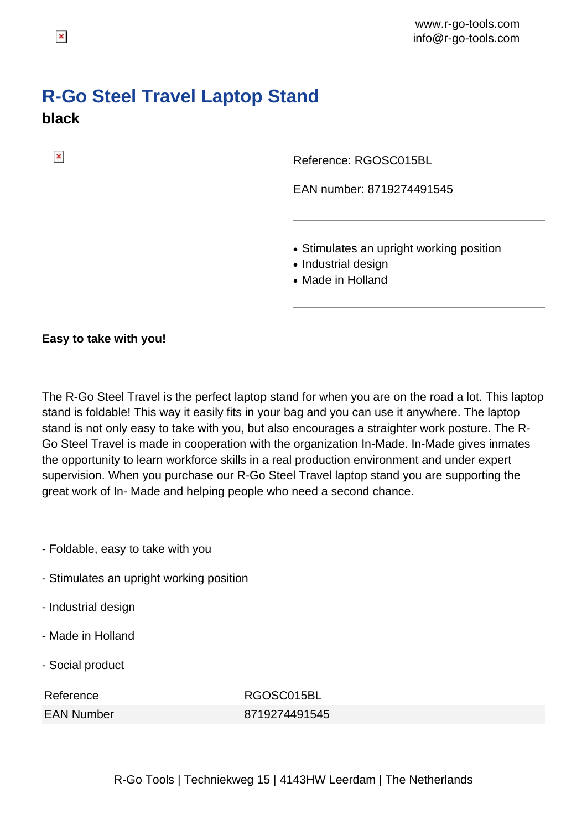## **R-Go Steel Travel Laptop Stand black**

Reference: RGOSC015BL

EAN number: 8719274491545

- Stimulates an upright working position
- Industrial design
- Made in Holland

## **Easy to take with you!**

The R-Go Steel Travel is the perfect laptop stand for when you are on the road a lot. This laptop stand is foldable! This way it easily fits in your bag and you can use it anywhere. The laptop stand is not only easy to take with you, but also encourages a straighter work posture. The R-Go Steel Travel is made in cooperation with the organization In-Made. In-Made gives inmates the opportunity to learn workforce skills in a real production environment and under expert supervision. When you purchase our R-Go Steel Travel laptop stand you are supporting the great work of In- Made and helping people who need a second chance.

- Foldable, easy to take with you
- Stimulates an upright working position
- Industrial design
- Made in Holland
- Social product

| Reference |                   |
|-----------|-------------------|
|           | <b>EAN Number</b> |

RGOSC015BL 8719274491545

 $\pmb{\times}$